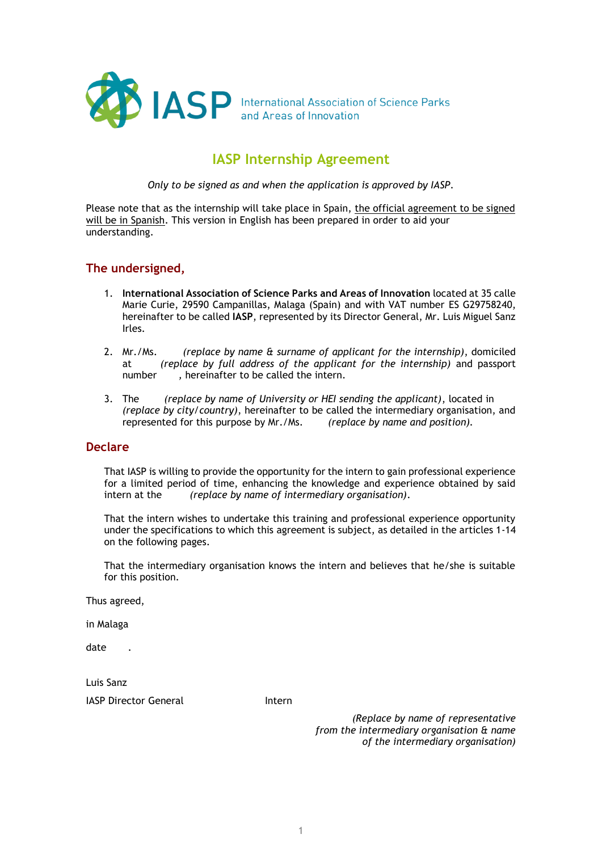

# **IASP Internship Agreement**

*Only to be signed as and when the application is approved by IASP.*

Please note that as the internship will take place in Spain, the official agreement to be signed will be in Spanish. This version in English has been prepared in order to aid your understanding.

# **The undersigned,**

- 1. **International Association of Science Parks and Areas of Innovation** located at 35 calle Marie Curie, 29590 Campanillas, Malaga (Spain) and with VAT number ES G29758240, hereinafter to be called **IASP**, represented by its Director General, Mr. Luis Miguel Sanz Irles.
- 2. Mr./Ms. *(replace by name & surname of applicant for the internship)*, domiciled at *(replace by full address of the applicant for the internship)* and passport number *,* hereinafter to be called the intern.
- 3. The *(replace by name of University or HEI sending the applicant)*, located in *(replace by city/country)*, hereinafter to be called the intermediary organisation, and represented for this purpose by Mr./Ms. *(replace by name and position).*

# **Declare**

That IASP is willing to provide the opportunity for the intern to gain professional experience for a limited period of time, enhancing the knowledge and experience obtained by said intern at the *(replace by name of intermediary organisation)*.

That the intern wishes to undertake this training and professional experience opportunity under the specifications to which this agreement is subject, as detailed in the articles 1-14 on the following pages.

That the intermediary organisation knows the intern and believes that he/she is suitable for this position.

Thus agreed,

in Malaga

date .

Luis Sanz IASP Director General **Internal** 

 *(Replace by name of representative from the intermediary organisation & name of the intermediary organisation)*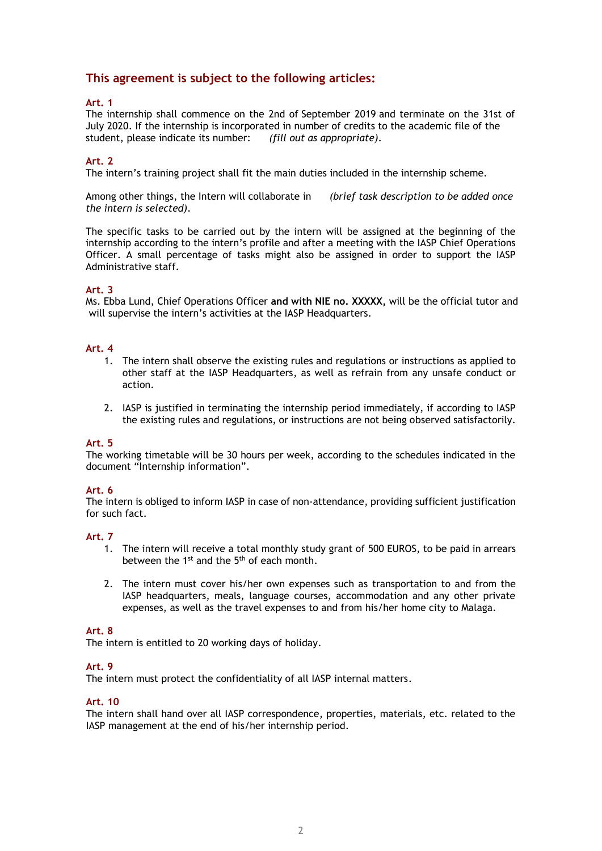# **This agreement is subject to the following articles:**

## **Art. 1**

The internship shall commence on the 2nd of September 2019 and terminate on the 31st of July 2020. If the internship is incorporated in number of credits to the academic file of the student, please indicate its number: *(fill out as appropriate)*.

### **Art. 2**

The intern's training project shall fit the main duties included in the internship scheme.

Among other things, the Intern will collaborate in *(brief task description to be added once the intern is selected)*.

The specific tasks to be carried out by the intern will be assigned at the beginning of the internship according to the intern's profile and after a meeting with the IASP Chief Operations Officer. A small percentage of tasks might also be assigned in order to support the IASP Administrative staff.

#### **Art. 3**

Ms. Ebba Lund, Chief Operations Officer **and with NIE no. XXXXX,** will be the official tutor and will supervise the intern's activities at the IASP Headquarters.

### **Art. 4**

- 1. The intern shall observe the existing rules and regulations or instructions as applied to other staff at the IASP Headquarters, as well as refrain from any unsafe conduct or action.
- 2. IASP is justified in terminating the internship period immediately, if according to IASP the existing rules and regulations, or instructions are not being observed satisfactorily.

#### **Art. 5**

The working timetable will be 30 hours per week, according to the schedules indicated in the document "Internship information".

#### **Art. 6**

The intern is obliged to inform IASP in case of non-attendance, providing sufficient justification for such fact.

#### **Art. 7**

- 1. The intern will receive a total monthly study grant of 500 EUROS, to be paid in arrears between the 1st and the 5th of each month.
- 2. The intern must cover his/her own expenses such as transportation to and from the IASP headquarters, meals, language courses, accommodation and any other private expenses, as well as the travel expenses to and from his/her home city to Malaga.

#### **Art. 8**

The intern is entitled to 20 working days of holiday.

#### **Art. 9**

The intern must protect the confidentiality of all IASP internal matters.

#### **Art. 10**

The intern shall hand over all IASP correspondence, properties, materials, etc. related to the IASP management at the end of his/her internship period.